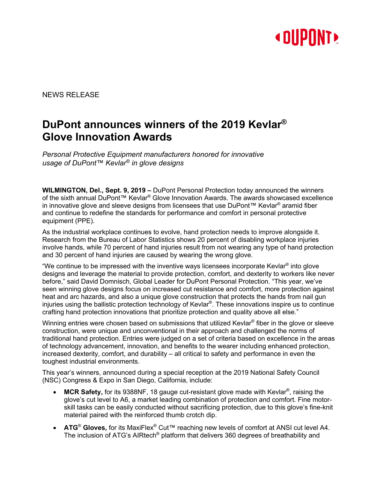

NEWS RELEASE

# **DuPont announces winners of the 2019 Kevlar® Glove Innovation Awards**

*Personal Protective Equipment manufacturers honored for innovative usage of DuPont™ Kevlar® in glove designs*

**WILMINGTON, Del., Sept. 9, 2019 –** DuPont Personal Protection today announced the winners of the sixth annual DuPont™ Kevlar® Glove Innovation Awards. The awards showcased excellence in innovative glove and sleeve designs from licensees that use DuPont™ Kevlar® aramid fiber and continue to redefine the standards for performance and comfort in personal protective equipment (PPE).

As the industrial workplace continues to evolve, hand protection needs to improve alongside it. Research from the Bureau of Labor Statistics shows 20 percent of disabling workplace injuries involve hands, while 70 percent of hand injuries result from not wearing any type of hand protection and 30 percent of hand injuries are caused by wearing the wrong glove.

"We continue to be impressed with the inventive ways licensees incorporate Kevlar® into glove designs and leverage the material to provide protection, comfort, and dexterity to workers like never before," said David Domnisch, Global Leader for DuPont Personal Protection. "This year, we've seen winning glove designs focus on increased cut resistance and comfort, more protection against heat and arc hazards, and also a unique glove construction that protects the hands from nail gun injuries using the ballistic protection technology of Kevlar®. These innovations inspire us to continue crafting hand protection innovations that prioritize protection and quality above all else."

Winning entries were chosen based on submissions that utilized Kevlar<sup>®</sup> fiber in the glove or sleeve construction, were unique and unconventional in their approach and challenged the norms of traditional hand protection. Entries were judged on a set of criteria based on excellence in the areas of technology advancement, innovation, and benefits to the wearer including enhanced protection, increased dexterity, comfort, and durability – all critical to safety and performance in even the toughest industrial environments.

This year's winners, announced during a special reception at the 2019 National Safety Council (NSC) Congress & Expo in San Diego, California, include:

- **MCR Safety,** for its 9388NF, 18 gauge cut-resistant glove made with Kevlar®, raising the glove's cut level to A6, a market leading combination of protection and comfort. Fine motorskill tasks can be easily conducted without sacrificing protection, due to this glove's fine-knit material paired with the reinforced thumb crotch dip.
- **ATG**® **Gloves,** for its MaxiFlex® Cut™ reaching new levels of comfort at ANSI cut level A4. The inclusion of ATG's AIRtech® platform that delivers 360 degrees of breathability and